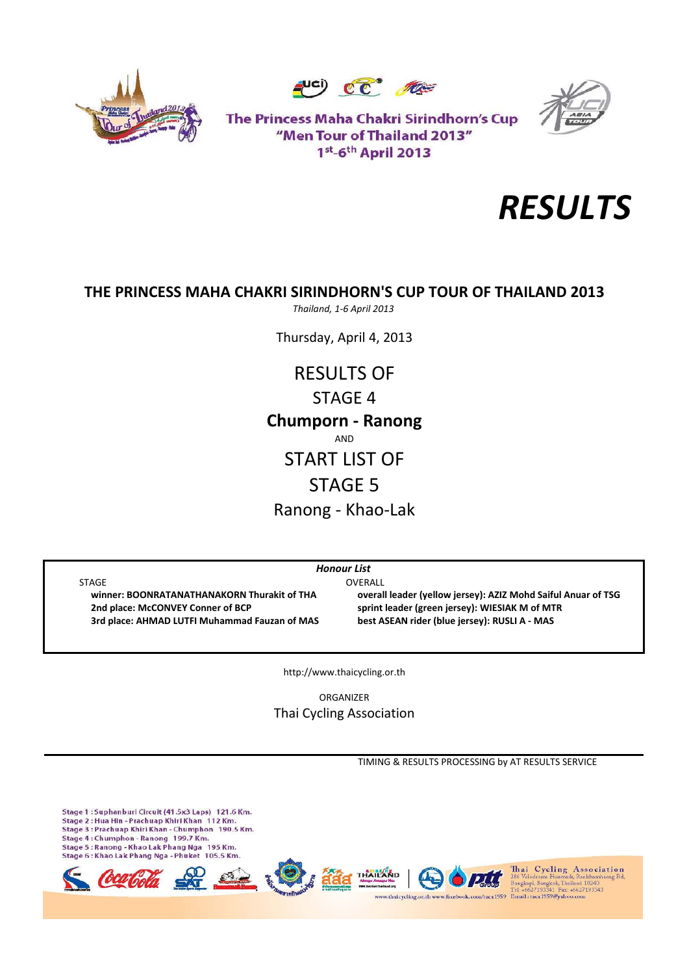





The Princess Maha Chakri Sirindhorn's Cup "Men Tour of Thailand 2013" 1st-6th April 2013



# **THE PRINCESS MAHA CHAKRI SIRINDHORN'S CUP TOUR OF THAILAND 2013**

*Thailand, 1‐6 April 2013*

Thursday, April 4, 2013

RESULTS OF STAGE 4 Ranong ‐ Khao‐Lak **Chumporn ‐ Ranong** AND START LIST OF STAGE 5

*Honour List*

STAGE OVERALL  **2nd place: McCONVEY Conner of BCP sprint leader (green jersey): WIESIAK M of MTR** 3rd place: AHMAD LUTFI Muhammad Fauzan of MAS best ASEAN rider (blue jersey): RUSLI A - MAS

winner: BOONRATANATHANAKORN Thurakit of THA overall leader (vellow iersey): AZIZ Mohd Saiful Anuar of TSG

http://www.thaicycling.or.th

ORGANIZER Thai Cycling Association

TIMING & RESULTS PROCESSING by AT RESULTS SERVICE

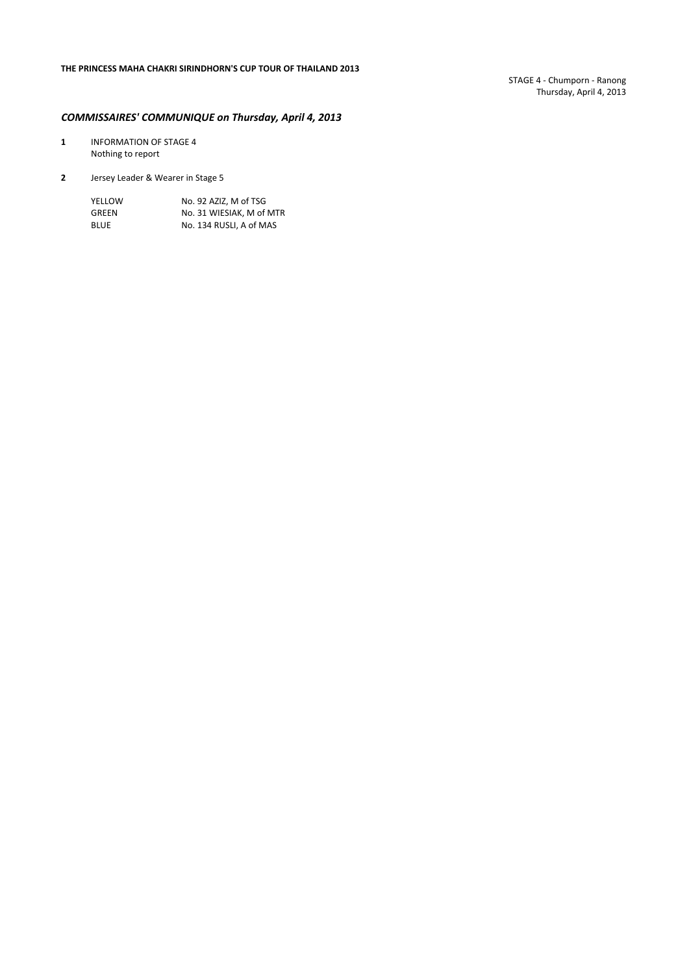STAGE 4 ‐ Chumporn ‐ Ranong Thursday, April 4, 2013

## *COMMISSAIRES' COMMUNIQUE on Thursday, April 4, 2013*

- **1** INFORMATION OF STAGE 4 Nothing to report
- **2** Jersey Leader & Wearer in Stage 5

| YELLOW      | No. 92 AZIZ. M of TSG    |
|-------------|--------------------------|
| GREEN       | No. 31 WIESIAK. M of MTR |
| <b>BLUE</b> | No. 134 RUSLI, A of MAS  |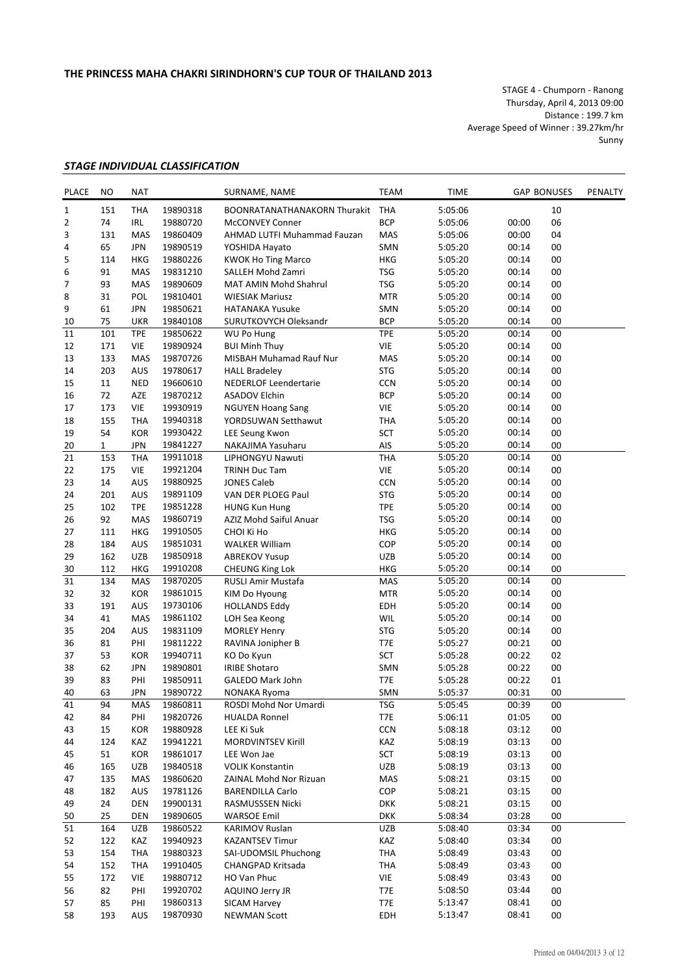STAGE 4 ‐ Chumporn ‐ Ranong Thursday, April 4, 2013 09:00 Distance : 199.7 km Average Speed of Winner : 39.27km/hr Sunny

## *STAGE INDIVIDUAL CLASSIFICATION*

| <b>PLACE</b> | NO           | <b>NAT</b> |          | SURNAME, NAME                       | TEAM       | TIME    |       | <b>GAP BONUSES</b> | PENALTY |
|--------------|--------------|------------|----------|-------------------------------------|------------|---------|-------|--------------------|---------|
| $\mathbf{1}$ | 151          | <b>THA</b> | 19890318 | <b>BOONRATANATHANAKORN Thurakit</b> | <b>THA</b> | 5:05:06 |       | 10                 |         |
| 2            | 74           | <b>IRL</b> | 19880720 | <b>McCONVEY Conner</b>              | <b>BCP</b> | 5:05:06 | 00:00 | 06                 |         |
| 3            | 131          | MAS        | 19860409 | AHMAD LUTFI Muhammad Fauzan         | MAS        | 5:05:06 | 00:00 | 04                 |         |
| 4            | 65           | <b>JPN</b> | 19890519 | YOSHIDA Hayato                      | SMN        | 5:05:20 | 00:14 | 00                 |         |
| 5            | 114          | <b>HKG</b> | 19880226 | <b>KWOK Ho Ting Marco</b>           | <b>HKG</b> | 5:05:20 | 00:14 | 00                 |         |
| 6            | 91           | <b>MAS</b> | 19831210 | SALLEH Mohd Zamri                   | <b>TSG</b> | 5:05:20 | 00:14 | 00                 |         |
| 7            | 93           | <b>MAS</b> | 19890609 | <b>MAT AMIN Mohd Shahrul</b>        | <b>TSG</b> | 5:05:20 | 00:14 | 00                 |         |
|              | 31           | POL        |          |                                     | <b>MTR</b> |         | 00:14 | 00                 |         |
| 8            |              |            | 19810401 | <b>WIESIAK Mariusz</b>              |            | 5:05:20 |       |                    |         |
| 9            | 61           | <b>JPN</b> | 19850621 | <b>HATANAKA Yusuke</b>              | SMN        | 5:05:20 | 00:14 | 00                 |         |
| 10           | 75           | <b>UKR</b> | 19840108 | SURUTKOVYCH Oleksandr               | <b>BCP</b> | 5:05:20 | 00:14 | 00                 |         |
| 11           | 101          | <b>TPE</b> | 19850622 | <b>WU Po Hung</b>                   | <b>TPE</b> | 5:05:20 | 00:14 | 00                 |         |
| 12           | 171          | <b>VIE</b> | 19890924 | <b>BUI Minh Thuy</b>                | VIE        | 5:05:20 | 00:14 | 00                 |         |
| 13           | 133          | <b>MAS</b> | 19870726 | MISBAH Muhamad Rauf Nur             | MAS        | 5:05:20 | 00:14 | 00                 |         |
| 14           | 203          | AUS        | 19780617 | <b>HALL Bradeley</b>                | <b>STG</b> | 5:05:20 | 00:14 | 00                 |         |
| 15           | 11           | <b>NED</b> | 19660610 | <b>NEDERLOF Leendertarie</b>        | <b>CCN</b> | 5:05:20 | 00:14 | 00                 |         |
| 16           | 72           | AZE        | 19870212 | <b>ASADOV Elchin</b>                | <b>BCP</b> | 5:05:20 | 00:14 | 00                 |         |
| 17           | 173          | VIE        | 19930919 | <b>NGUYEN Hoang Sang</b>            | VIE        | 5:05:20 | 00:14 | 00                 |         |
| 18           | 155          | <b>THA</b> | 19940318 | YORDSUWAN Setthawut                 | <b>THA</b> | 5:05:20 | 00:14 | 00                 |         |
| 19           | 54           | <b>KOR</b> | 19930422 | LEE Seung Kwon                      | <b>SCT</b> | 5:05:20 | 00:14 | 00                 |         |
| 20           | $\mathbf{1}$ | <b>JPN</b> | 19841227 | NAKAJIMA Yasuharu                   | AIS        | 5:05:20 | 00:14 | 00                 |         |
| 21           | 153          | <b>THA</b> | 19911018 | LIPHONGYU Nawuti                    | <b>THA</b> | 5:05:20 | 00:14 | 00                 |         |
| 22           | 175          | VIE        | 19921204 |                                     | VIE        |         | 00:14 | 00                 |         |
|              |              |            |          | <b>TRINH Duc Tam</b>                |            | 5:05:20 |       |                    |         |
| 23           | 14           | <b>AUS</b> | 19880925 | <b>JONES Caleb</b>                  | <b>CCN</b> | 5:05:20 | 00:14 | 00                 |         |
| 24           | 201          | AUS        | 19891109 | VAN DER PLOEG Paul                  | <b>STG</b> | 5:05:20 | 00:14 | 00                 |         |
| 25           | 102          | <b>TPE</b> | 19851228 | <b>HUNG Kun Hung</b>                | <b>TPE</b> | 5:05:20 | 00:14 | 00                 |         |
| 26           | 92           | MAS        | 19860719 | AZIZ Mohd Saiful Anuar              | <b>TSG</b> | 5:05:20 | 00:14 | 00                 |         |
| 27           | 111          | <b>HKG</b> | 19910505 | CHOI Ki Ho                          | <b>HKG</b> | 5:05:20 | 00:14 | 00                 |         |
| 28           | 184          | AUS        | 19851031 | <b>WALKER William</b>               | COP        | 5:05:20 | 00:14 | 00                 |         |
| 29           | 162          | <b>UZB</b> | 19850918 | <b>ABREKOV Yusup</b>                | <b>UZB</b> | 5:05:20 | 00:14 | 00                 |         |
| 30           | 112          | <b>HKG</b> | 19910208 | <b>CHEUNG King Lok</b>              | <b>HKG</b> | 5:05:20 | 00:14 | 00                 |         |
| 31           | 134          | <b>MAS</b> | 19870205 | RUSLI Amir Mustafa                  | MAS        | 5:05:20 | 00:14 | 00                 |         |
| 32           | 32           | <b>KOR</b> | 19861015 | KIM Do Hyoung                       | <b>MTR</b> | 5:05:20 | 00:14 | 00                 |         |
| 33           | 191          | AUS        | 19730106 | <b>HOLLANDS Eddy</b>                | EDH        | 5:05:20 | 00:14 | 00                 |         |
| 34           | 41           | MAS        | 19861102 | LOH Sea Keong                       | WIL        | 5:05:20 | 00:14 | 00                 |         |
| 35           | 204          | AUS        | 19831109 | <b>MORLEY Henry</b>                 | <b>STG</b> | 5:05:20 | 00:14 | 00                 |         |
| 36           | 81           | PHI        | 19811222 | RAVINA Jonipher B                   | T7E        | 5:05:27 | 00:21 | 00                 |         |
| 37           | 53           | <b>KOR</b> | 19940711 | KO Do Kyun                          | <b>SCT</b> | 5:05:28 | 00:22 | 02                 |         |
|              |              |            | 19890801 |                                     |            |         | 00:22 |                    |         |
| 38           | 62           | <b>JPN</b> |          | <b>IRIBE Shotaro</b>                | SMN        | 5:05:28 |       | 00                 |         |
| 39           | 83           | PHI        | 19850911 | <b>GALEDO Mark John</b>             | T7E        | 5:05:28 | 00:22 | 01                 |         |
| 40           | 63           | <b>JPN</b> | 19890722 | NONAKA Ryoma                        | SMN        | 5:05:37 | 00:31 | 00                 |         |
| 41           | 94           | MAS        | 19860811 | ROSDI Mohd Nor Umardi               | TSG        | 5:05:45 | 00:39 | 00                 |         |
| 42           | 84           | PHI        | 19820726 | <b>HUALDA Ronnel</b>                | T7E        | 5:06:11 | 01:05 | 00                 |         |
| 43           | 15           | <b>KOR</b> | 19880928 | LEE Ki Suk                          | <b>CCN</b> | 5:08:18 | 03:12 | 00                 |         |
| 44           | 124          | KAZ        | 19941221 | <b>MORDVINTSEV Kirill</b>           | KAZ        | 5:08:19 | 03:13 | 00                 |         |
| 45           | 51           | <b>KOR</b> | 19861017 | LEE Won Jae                         | <b>SCT</b> | 5:08:19 | 03:13 | 00                 |         |
| 46           | 165          | UZB        | 19840518 | <b>VOLIK Konstantin</b>             | <b>UZB</b> | 5:08:19 | 03:13 | 00                 |         |
| 47           | 135          | MAS        | 19860620 | ZAINAL Mohd Nor Rizuan              | MAS        | 5:08:21 | 03:15 | 00                 |         |
| 48           | 182          | AUS        | 19781126 | <b>BARENDILLA Carlo</b>             | COP        | 5:08:21 | 03:15 | 00                 |         |
| 49           | 24           | <b>DEN</b> | 19900131 | RASMUSSSEN Nicki                    | <b>DKK</b> | 5:08:21 | 03:15 | 00                 |         |
| 50           | 25           | <b>DEN</b> | 19890605 | <b>WARSOE Emil</b>                  | <b>DKK</b> | 5:08:34 | 03:28 | 00                 |         |
| 51           | 164          | <b>UZB</b> | 19860522 | KARIMOV Ruslan                      | <b>UZB</b> | 5:08:40 | 03:34 | 00                 |         |
| 52           | 122          | KAZ        | 19940923 | <b>KAZANTSEV Timur</b>              | KAZ        | 5:08:40 | 03:34 | 00                 |         |
| 53           | 154          | THA        | 19880323 | SAI-UDOMSIL Phuchong                | <b>THA</b> | 5:08:49 | 03:43 | 00                 |         |
|              |              |            |          |                                     |            |         |       |                    |         |
| 54           | 152          | THA        | 19910405 | CHANGPAD Kritsada                   | THA        | 5:08:49 | 03:43 | 00                 |         |
| 55           | 172          | VIE        | 19880712 | HO Van Phuc                         | VIE        | 5:08:49 | 03:43 | 00                 |         |
| 56           | 82           | PHI        | 19920702 | AQUINO Jerry JR                     | T7E        | 5:08:50 | 03:44 | 00                 |         |
| 57           | 85           | PHI        | 19860313 | SICAM Harvey                        | T7E        | 5:13:47 | 08:41 | 00                 |         |
| 58           | 193          | AUS        | 19870930 | <b>NEWMAN Scott</b>                 | EDH        | 5:13:47 | 08:41 | 00                 |         |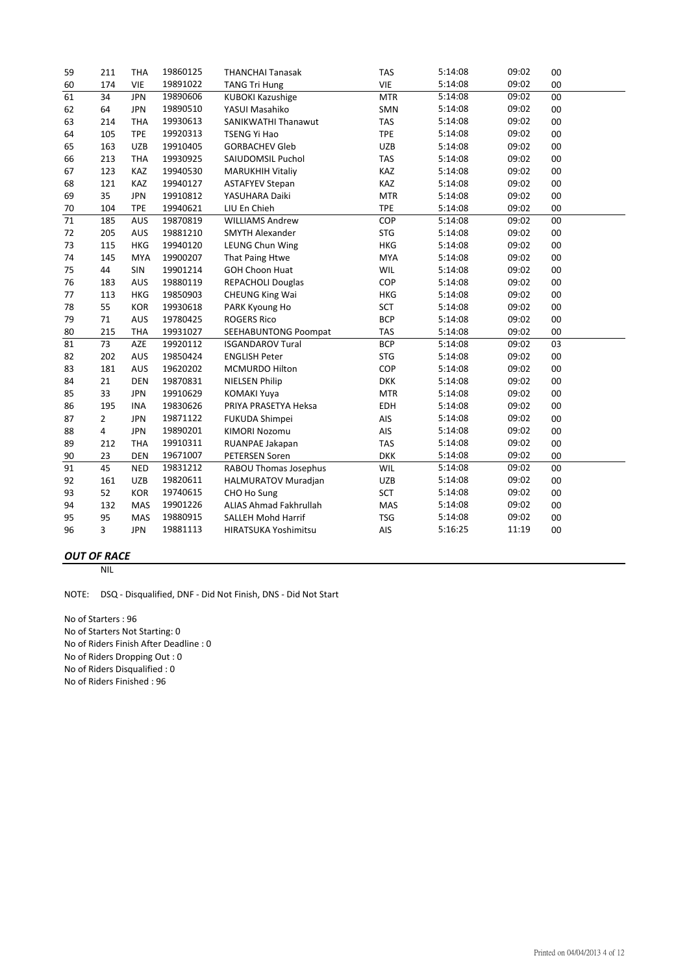| 59              | 211 | <b>THA</b> | 19860125 | <b>THANCHAI Tanasak</b>    | <b>TAS</b> | 5:14:08 | 09:02 | 00     |
|-----------------|-----|------------|----------|----------------------------|------------|---------|-------|--------|
| 60              | 174 | <b>VIE</b> | 19891022 | <b>TANG Tri Hung</b>       | VIE        | 5:14:08 | 09:02 | 00     |
| 61              | 34  | <b>JPN</b> | 19890606 | <b>KUBOKI Kazushige</b>    | <b>MTR</b> | 5:14:08 | 09:02 | 00     |
| 62              | 64  | <b>JPN</b> | 19890510 | YASUI Masahiko             | SMN        | 5:14:08 | 09:02 | 00     |
| 63              | 214 | <b>THA</b> | 19930613 | SANIKWATHI Thanawut        | <b>TAS</b> | 5:14:08 | 09:02 | 00     |
| 64              | 105 | <b>TPE</b> | 19920313 | <b>TSENG Yi Hao</b>        | <b>TPE</b> | 5:14:08 | 09:02 | 00     |
| 65              | 163 | <b>UZB</b> | 19910405 | <b>GORBACHEV Gleb</b>      | <b>UZB</b> | 5:14:08 | 09:02 | 00     |
| 66              | 213 | <b>THA</b> | 19930925 | SAIUDOMSIL Puchol          | <b>TAS</b> | 5:14:08 | 09:02 | 00     |
| 67              | 123 | KAZ        | 19940530 | <b>MARUKHIH Vitaliy</b>    | KAZ        | 5:14:08 | 09:02 | 00     |
| 68              | 121 | KAZ        | 19940127 | <b>ASTAFYEV Stepan</b>     | KAZ        | 5:14:08 | 09:02 | 00     |
| 69              | 35  | <b>JPN</b> | 19910812 | YASUHARA Daiki             | <b>MTR</b> | 5:14:08 | 09:02 | 00     |
| 70              | 104 | <b>TPE</b> | 19940621 | LIU En Chieh               | <b>TPE</b> | 5:14:08 | 09:02 | 00     |
| $\overline{71}$ | 185 | AUS        | 19870819 | <b>WILLIAMS Andrew</b>     | COP        | 5:14:08 | 09:02 | 00     |
| 72              | 205 | AUS        | 19881210 | <b>SMYTH Alexander</b>     | <b>STG</b> | 5:14:08 | 09:02 | 00     |
| 73              | 115 | <b>HKG</b> | 19940120 | <b>LEUNG Chun Wing</b>     | <b>HKG</b> | 5:14:08 | 09:02 | 00     |
| 74              | 145 | <b>MYA</b> | 19900207 | That Paing Htwe            | <b>MYA</b> | 5:14:08 | 09:02 | 00     |
| 75              | 44  | SIN        | 19901214 | <b>GOH Choon Huat</b>      | WIL        | 5:14:08 | 09:02 | 00     |
| 76              | 183 | AUS        | 19880119 | <b>REPACHOLI Douglas</b>   | COP        | 5:14:08 | 09:02 | 00     |
| 77              | 113 | <b>HKG</b> | 19850903 | <b>CHEUNG King Wai</b>     | <b>HKG</b> | 5:14:08 | 09:02 | 00     |
| 78              | 55  | <b>KOR</b> | 19930618 | PARK Kyoung Ho             | <b>SCT</b> | 5:14:08 | 09:02 | 00     |
| 79              | 71  | AUS        | 19780425 | <b>ROGERS Rico</b>         | <b>BCP</b> | 5:14:08 | 09:02 | 00     |
| 80              | 215 | <b>THA</b> | 19931027 | SEEHABUNTONG Poompat       | <b>TAS</b> | 5:14:08 | 09:02 | 00     |
| 81              | 73  | AZE        | 19920112 | <b>ISGANDAROV Tural</b>    | <b>BCP</b> | 5:14:08 | 09:02 | 03     |
| 82              | 202 | AUS        | 19850424 | <b>ENGLISH Peter</b>       | <b>STG</b> | 5:14:08 | 09:02 | 00     |
| 83              | 181 | AUS        | 19620202 | MCMURDO Hilton             | COP        | 5:14:08 | 09:02 | 00     |
| 84              | 21  | <b>DEN</b> | 19870831 | <b>NIELSEN Philip</b>      | <b>DKK</b> | 5:14:08 | 09:02 | 00     |
| 85              | 33  | <b>JPN</b> | 19910629 | <b>KOMAKI Yuya</b>         | <b>MTR</b> | 5:14:08 | 09:02 | 00     |
| 86              | 195 | <b>INA</b> | 19830626 | PRIYA PRASETYA Heksa       | <b>EDH</b> | 5:14:08 | 09:02 | 00     |
| 87              | 2   | <b>JPN</b> | 19871122 | FUKUDA Shimpei             | AIS        | 5:14:08 | 09:02 | 00     |
| 88              | 4   | <b>JPN</b> | 19890201 | <b>KIMORI Nozomu</b>       | AIS        | 5:14:08 | 09:02 | $00\,$ |
| 89              | 212 | <b>THA</b> | 19910311 | RUANPAE Jakapan            | <b>TAS</b> | 5:14:08 | 09:02 | 00     |
| 90              | 23  | <b>DEN</b> | 19671007 | <b>PETERSEN Soren</b>      | <b>DKK</b> | 5:14:08 | 09:02 | 00     |
| 91              | 45  | <b>NED</b> | 19831212 | RABOU Thomas Josephus      | WIL        | 5:14:08 | 09:02 | 00     |
| 92              | 161 | <b>UZB</b> | 19820611 | <b>HALMURATOV Muradjan</b> | <b>UZB</b> | 5:14:08 | 09:02 | 00     |
| 93              | 52  | <b>KOR</b> | 19740615 | CHO Ho Sung                | <b>SCT</b> | 5:14:08 | 09:02 | 00     |
| 94              | 132 | MAS        | 19901226 | ALIAS Ahmad Fakhrullah     | MAS        | 5:14:08 | 09:02 | 00     |
| 95              | 95  | <b>MAS</b> | 19880915 | <b>SALLEH Mohd Harrif</b>  | <b>TSG</b> | 5:14:08 | 09:02 | 00     |
| 96              | 3   | <b>JPN</b> | 19881113 | HIRATSUKA Yoshimitsu       | AIS        | 5:16:25 | 11:19 | 00     |

# *OUT OF RACE*

NIL

NOTE: DSQ ‐ Disqualified, DNF ‐ Did Not Finish, DNS ‐ Did Not Start

No of Starters : 96 No of Starters Not Starting: 0 No of Riders Finish After Deadline : 0 No of Riders Dropping Out : 0 No of Riders Disqualified : 0 No of Riders Finished : 96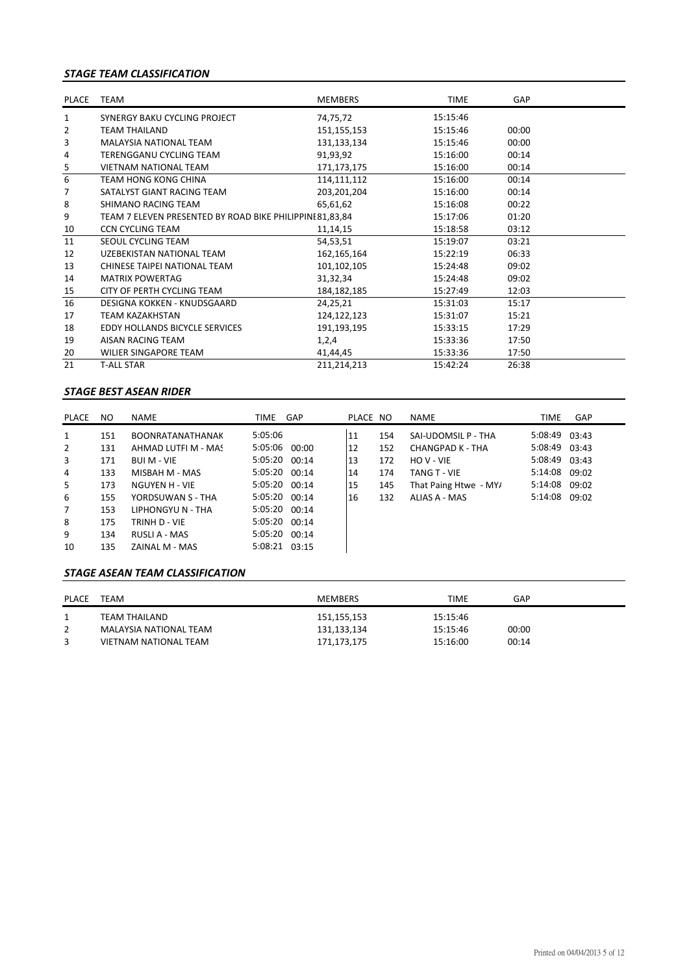### *STAGE TEAM CLASSIFICATION*

| PLACE          | <b>TEAM</b>                                              | <b>MEMBERS</b> | <b>TIME</b> | GAP   |  |
|----------------|----------------------------------------------------------|----------------|-------------|-------|--|
| 1              | SYNERGY BAKU CYCLING PROJECT                             | 74,75,72       | 15:15:46    |       |  |
| 2              | <b>TEAM THAILAND</b>                                     | 151,155,153    | 15:15:46    | 00:00 |  |
| 3              | <b>MALAYSIA NATIONAL TEAM</b>                            | 131,133,134    | 15:15:46    | 00:00 |  |
| 4              | TERENGGANU CYCLING TEAM                                  | 91,93,92       | 15:16:00    | 00:14 |  |
| $\overline{5}$ | <b>VIETNAM NATIONAL TEAM</b>                             | 171,173,175    | 15:16:00    | 00:14 |  |
| 6              | <b>TEAM HONG KONG CHINA</b>                              | 114,111,112    | 15:16:00    | 00:14 |  |
| 7              | SATALYST GIANT RACING TEAM                               | 203,201,204    | 15:16:00    | 00:14 |  |
| 8              | SHIMANO RACING TEAM                                      | 65,61,62       | 15:16:08    | 00:22 |  |
| 9              | TEAM 7 ELEVEN PRESENTED BY ROAD BIKE PHILIPPINI 81,83,84 |                | 15:17:06    | 01:20 |  |
| 10             | <b>CCN CYCLING TEAM</b>                                  | 11,14,15       | 15:18:58    | 03:12 |  |
| 11             | SEOUL CYCLING TEAM                                       | 54,53,51       | 15:19:07    | 03:21 |  |
| 12             | UZEBEKISTAN NATIONAL TEAM                                | 162, 165, 164  | 15:22:19    | 06:33 |  |
| 13             | CHINESE TAIPEI NATIONAL TEAM                             | 101,102,105    | 15:24:48    | 09:02 |  |
| 14             | <b>MATRIX POWERTAG</b>                                   | 31,32,34       | 15:24:48    | 09:02 |  |
| 15             | CITY OF PERTH CYCLING TEAM                               | 184, 182, 185  | 15:27:49    | 12:03 |  |
| 16             | DESIGNA KOKKEN - KNUDSGAARD                              | 24,25,21       | 15:31:03    | 15:17 |  |
| 17             | TEAM KAZAKHSTAN                                          | 124,122,123    | 15:31:07    | 15:21 |  |
| 18             | EDDY HOLLANDS BICYCLE SERVICES                           | 191,193,195    | 15:33:15    | 17:29 |  |
| 19             | AISAN RACING TEAM                                        | 1,2,4          | 15:33:36    | 17:50 |  |
| 20             | <b>WILIER SINGAPORE TEAM</b>                             | 41,44,45       | 15:33:36    | 17:50 |  |
| 21             | <b>T-ALL STAR</b>                                        | 211,214,213    | 15:42:24    | 26:38 |  |

### *STAGE BEST ASEAN RIDER*

| PLACE          | NO. | NAME                    | TIME          | GAP | PLACE NO |     | <b>NAME</b>           | TIME          | GAP |
|----------------|-----|-------------------------|---------------|-----|----------|-----|-----------------------|---------------|-----|
| $\mathbf{1}$   | 151 | <b>BOONRATANATHANAK</b> | 5:05:06       |     | 11       | 154 | SAI-UDOMSIL P - THA   | 5:08:49 03:43 |     |
| $\overline{2}$ | 131 | AHMAD LUTFI M - MAS     | 5:05:06 00:00 |     | 12       | 152 | CHANGPAD K - THA      | 5:08:49 03:43 |     |
| 3              | 171 | <b>BUI M - VIE</b>      | 5:05:20 00:14 |     | 13       | 172 | HO V - VIE            | 5:08:49 03:43 |     |
| 4              | 133 | MISBAH M - MAS          | 5:05:20 00:14 |     | 14       | 174 | TANG T - VIE          | 5:14:08 09:02 |     |
| 5              | 173 | NGUYEN H - VIE          | 5:05:20 00:14 |     | 15       | 145 | That Paing Htwe - MY/ | 5:14:08 09:02 |     |
| 6              | 155 | YORDSUWAN S - THA       | 5:05:20 00:14 |     | 16       | 132 | ALIAS A - MAS         | 5:14:08 09:02 |     |
| $\overline{7}$ | 153 | LIPHONGYU N - THA       | 5:05:20 00:14 |     |          |     |                       |               |     |
| 8              | 175 | TRINH D - VIE           | 5:05:20 00:14 |     |          |     |                       |               |     |
| 9              | 134 | RUSLI A - MAS           | 5:05:20 00:14 |     |          |     |                       |               |     |
| 10             | 135 | ZAINAL M - MAS          | 5:08:21 03:15 |     |          |     |                       |               |     |

### *STAGE ASEAN TEAM CLASSIFICATION*

| <b>PLACE</b> | TEAM                   | MEMBERS     | TIME     | GAP   |
|--------------|------------------------|-------------|----------|-------|
|              | TEAM THAILAND          | 151,155,153 | 15:15:46 |       |
|              | MALAYSIA NATIONAL TEAM | 131,133,134 | 15:15:46 | 00:00 |
|              | VIETNAM NATIONAL TEAM  | 171,173,175 | 15:16:00 | 00:14 |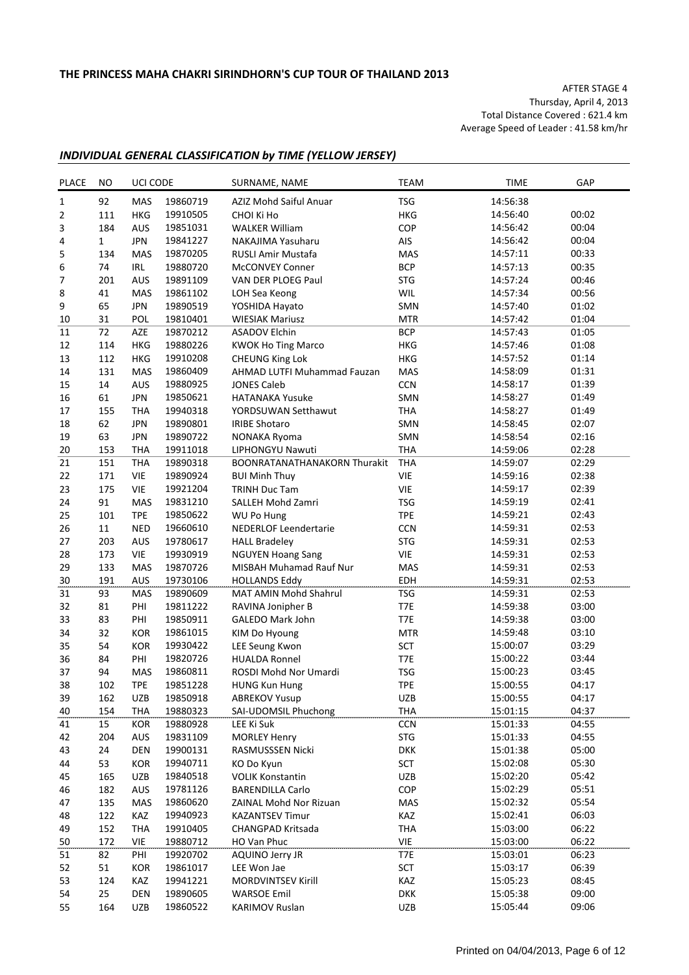AFTER STAGE 4 Thursday, April 4, 2013 Total Distance Covered : 621.4 km Average Speed of Leader : 41.58 km/hr

## *INDIVIDUAL GENERAL CLASSIFICATION by TIME (YELLOW JERSEY)*

| <b>PLACE</b>     | NO  | UCI CODE   |          | SURNAME, NAME                       | <b>TEAM</b> | <b>TIME</b> | GAP   |
|------------------|-----|------------|----------|-------------------------------------|-------------|-------------|-------|
| $1\,$            | 92  | <b>MAS</b> | 19860719 | AZIZ Mohd Saiful Anuar              | <b>TSG</b>  | 14:56:38    |       |
| $\overline{2}$   | 111 | HKG        | 19910505 | CHOI Ki Ho                          | <b>HKG</b>  | 14:56:40    | 00:02 |
| 3                | 184 | AUS        | 19851031 | <b>WALKER William</b>               | COP         | 14:56:42    | 00:04 |
| 4                | 1   | <b>JPN</b> | 19841227 | NAKAJIMA Yasuharu                   | AIS         | 14:56:42    | 00:04 |
| 5                | 134 | <b>MAS</b> | 19870205 | RUSLI Amir Mustafa                  | MAS         | 14:57:11    | 00:33 |
| 6                | 74  | IRL        | 19880720 | McCONVEY Conner                     | <b>BCP</b>  | 14:57:13    | 00:35 |
| $\boldsymbol{7}$ | 201 | AUS        | 19891109 | VAN DER PLOEG Paul                  | <b>STG</b>  | 14:57:24    | 00:46 |
| 8                | 41  | MAS        | 19861102 | LOH Sea Keong                       | WIL         | 14:57:34    | 00:56 |
| 9                | 65  | <b>JPN</b> | 19890519 | YOSHIDA Hayato                      | SMN         | 14:57:40    | 01:02 |
| 10               | 31  | POL        | 19810401 | <b>WIESIAK Mariusz</b>              | <b>MTR</b>  | 14:57:42    | 01:04 |
| 11               | 72  | AZE        | 19870212 | <b>ASADOV Elchin</b>                | <b>BCP</b>  | 14:57:43    | 01:05 |
| 12               | 114 | HKG        | 19880226 | <b>KWOK Ho Ting Marco</b>           | <b>HKG</b>  | 14:57:46    | 01:08 |
| 13               | 112 | HKG        | 19910208 | <b>CHEUNG King Lok</b>              | <b>HKG</b>  | 14:57:52    | 01:14 |
| 14               | 131 | MAS        | 19860409 | AHMAD LUTFI Muhammad Fauzan         | MAS         | 14:58:09    | 01:31 |
| 15               | 14  | AUS        | 19880925 | <b>JONES Caleb</b>                  | <b>CCN</b>  | 14:58:17    | 01:39 |
| 16               | 61  | <b>JPN</b> | 19850621 | <b>HATANAKA Yusuke</b>              | SMN         | 14:58:27    | 01:49 |
| 17               | 155 | <b>THA</b> | 19940318 | YORDSUWAN Setthawut                 | THA         | 14:58:27    | 01:49 |
| 18               | 62  | <b>JPN</b> | 19890801 | <b>IRIBE Shotaro</b>                | SMN         | 14:58:45    | 02:07 |
| 19               | 63  | <b>JPN</b> | 19890722 | NONAKA Ryoma                        | SMN         | 14:58:54    | 02:16 |
| 20               | 153 | <b>THA</b> | 19911018 | LIPHONGYU Nawuti                    | <b>THA</b>  | 14:59:06    | 02:28 |
| 21               | 151 | <b>THA</b> | 19890318 | <b>BOONRATANATHANAKORN Thurakit</b> | <b>THA</b>  | 14:59:07    | 02:29 |
| 22               | 171 | <b>VIE</b> | 19890924 | <b>BUI Minh Thuy</b>                | <b>VIE</b>  | 14:59:16    | 02:38 |
| 23               | 175 | <b>VIE</b> | 19921204 | <b>TRINH Duc Tam</b>                | VIE         | 14:59:17    | 02:39 |
| 24               | 91  | MAS        | 19831210 | SALLEH Mohd Zamri                   | <b>TSG</b>  | 14:59:19    | 02:41 |
| 25               | 101 | <b>TPE</b> | 19850622 | WU Po Hung                          | <b>TPE</b>  | 14:59:21    | 02:43 |
| 26               | 11  | <b>NED</b> | 19660610 | <b>NEDERLOF Leendertarie</b>        | <b>CCN</b>  | 14:59:31    | 02:53 |
| 27               | 203 | AUS        | 19780617 | <b>HALL Bradeley</b>                | <b>STG</b>  | 14:59:31    | 02:53 |
| 28               | 173 | <b>VIE</b> | 19930919 | <b>NGUYEN Hoang Sang</b>            | <b>VIE</b>  | 14:59:31    | 02:53 |
| 29               | 133 | MAS        | 19870726 | MISBAH Muhamad Rauf Nur             | MAS         | 14:59:31    | 02:53 |
| 30               | 191 | AUS        | 19730106 | <b>HOLLANDS Eddy</b>                | EDH         | 14:59:31    | 02:53 |
| 31               | 93  | MAS        | 19890609 | MAT AMIN Mohd Shahrul               | <b>TSG</b>  | 14:59:31    | 02:53 |
| 32               | 81  | PHI        | 19811222 | RAVINA Jonipher B                   | T7E         | 14:59:38    | 03:00 |
| 33               | 83  | PHI        | 19850911 | GALEDO Mark John                    | T7E         | 14:59:38    | 03:00 |
| 34               | 32  | KOR        | 19861015 | KIM Do Hyoung                       | <b>MTR</b>  | 14:59:48    | 03:10 |
| 35               | 54  | KOR        | 19930422 | LEE Seung Kwon                      | SCT         | 15:00:07    | 03:29 |
| 36               | 84  | PHI        | 19820726 | <b>HUALDA Ronnel</b>                | T7E         | 15:00:22    | 03:44 |
| 37               | 94  | <b>MAS</b> | 19860811 | ROSDI Mohd Nor Umardi               | <b>TSG</b>  | 15:00:23    | 03:45 |
| 38               | 102 | <b>TPE</b> | 19851228 | <b>HUNG Kun Hung</b>                | <b>TPE</b>  | 15:00:55    | 04:17 |
| 39               | 162 | UZB        | 19850918 | <b>ABREKOV Yusup</b>                | UZB         | 15:00:55    | 04:17 |
| 40               | 154 | <b>THA</b> | 19880323 | SAI-UDOMSIL Phuchong                | THA         | 15:01:15    | 04:37 |
| 41               | 15  | KOR        | 19880928 | LEE Ki Suk                          | CCN         | 15:01:33    | 04:55 |
| 42               | 204 | AUS        | 19831109 | <b>MORLEY Henry</b>                 | <b>STG</b>  | 15:01:33    | 04:55 |
| 43               | 24  | DEN        | 19900131 | RASMUSSSEN Nicki                    | <b>DKK</b>  | 15:01:38    | 05:00 |
| 44               | 53  | KOR        | 19940711 | KO Do Kyun                          | SCT         | 15:02:08    | 05:30 |
| 45               | 165 | UZB        | 19840518 | <b>VOLIK Konstantin</b>             | UZB         | 15:02:20    | 05:42 |
| 46               | 182 | AUS        | 19781126 | <b>BARENDILLA Carlo</b>             | COP         | 15:02:29    | 05:51 |
| 47               | 135 | MAS        | 19860620 | ZAINAL Mohd Nor Rizuan              | MAS         | 15:02:32    | 05:54 |
| 48               | 122 | KAZ        | 19940923 | <b>KAZANTSEV Timur</b>              | KAZ         | 15:02:41    | 06:03 |
| 49               | 152 | <b>THA</b> | 19910405 | CHANGPAD Kritsada                   | THA         | 15:03:00    | 06:22 |
| 50               | 172 | <b>VIE</b> | 19880712 | HO Van Phuc                         | VIE         | 15:03:00    | 06:22 |
| 51               | 82  | PHI        | 19920702 | <b>AQUINO Jerry JR</b>              | T7E         | 15:03:01    | 06:23 |
| 52               | 51  | KOR        | 19861017 | LEE Won Jae                         | SCT         | 15:03:17    | 06:39 |
| 53               | 124 | KAZ        | 19941221 | <b>MORDVINTSEV Kirill</b>           | KAZ         | 15:05:23    | 08:45 |
| 54               | 25  | DEN        | 19890605 | <b>WARSOE Emil</b>                  | <b>DKK</b>  | 15:05:38    | 09:00 |
| 55               | 164 | UZB        | 19860522 | <b>KARIMOV Ruslan</b>               | UZB         | 15:05:44    | 09:06 |
|                  |     |            |          |                                     |             |             |       |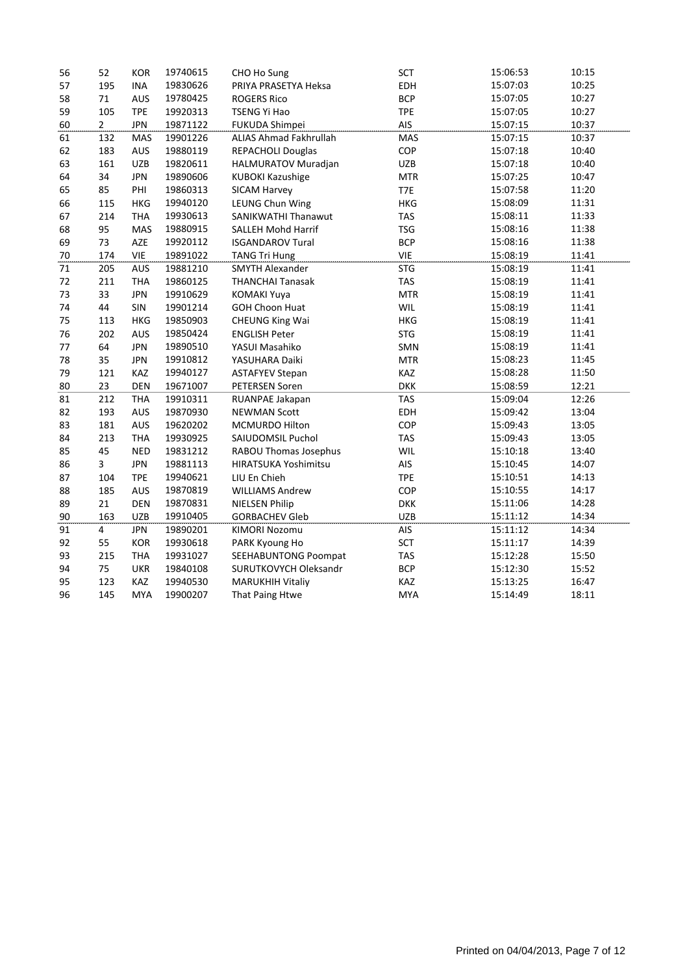| 56 | 52             | <b>KOR</b> | 19740615 | CHO Ho Sung                 | SCT        | 15:06:53 | 10:15 |
|----|----------------|------------|----------|-----------------------------|------------|----------|-------|
| 57 | 195            | <b>INA</b> | 19830626 | PRIYA PRASETYA Heksa        | EDH        | 15:07:03 | 10:25 |
| 58 | 71             | <b>AUS</b> | 19780425 | <b>ROGERS Rico</b>          | <b>BCP</b> | 15:07:05 | 10:27 |
| 59 | 105            | <b>TPE</b> | 19920313 | <b>TSENG Yi Hao</b>         | <b>TPE</b> | 15:07:05 | 10:27 |
| 60 | $\overline{2}$ | <b>JPN</b> | 19871122 | FUKUDA Shimpei              | AIS        | 15:07:15 | 10:37 |
| 61 | 132            | MAS        | 19901226 | ALIAS Ahmad Fakhrullah      | MAS        | 15:07:15 | 10:37 |
| 62 | 183            | AUS        | 19880119 | REPACHOLI Douglas           | COP        | 15:07:18 | 10:40 |
| 63 | 161            | UZB        | 19820611 | HALMURATOV Muradjan         | <b>UZB</b> | 15:07:18 | 10:40 |
| 64 | 34             | <b>JPN</b> | 19890606 | <b>KUBOKI Kazushige</b>     | <b>MTR</b> | 15:07:25 | 10:47 |
| 65 | 85             | PHI        | 19860313 | SICAM Harvey                | T7E        | 15:07:58 | 11:20 |
| 66 | 115            | <b>HKG</b> | 19940120 | LEUNG Chun Wing             | <b>HKG</b> | 15:08:09 | 11:31 |
| 67 | 214            | <b>THA</b> | 19930613 | SANIKWATHI Thanawut         | <b>TAS</b> | 15:08:11 | 11:33 |
| 68 | 95             | MAS        | 19880915 | <b>SALLEH Mohd Harrif</b>   | <b>TSG</b> | 15:08:16 | 11:38 |
| 69 | 73             | AZE        | 19920112 | <b>ISGANDAROV Tural</b>     | <b>BCP</b> | 15:08:16 | 11:38 |
| 70 | 174            | <b>VIE</b> | 19891022 | <b>TANG Tri Hung</b>        | <b>VIE</b> | 15:08:19 | 11:41 |
| 71 | 205            | AUS        | 19881210 | <b>SMYTH Alexander</b>      | <b>STG</b> | 15:08:19 | 11:41 |
| 72 | 211            | <b>THA</b> | 19860125 | <b>THANCHAI Tanasak</b>     | <b>TAS</b> | 15:08:19 | 11:41 |
| 73 | 33             | <b>JPN</b> | 19910629 | <b>KOMAKI Yuya</b>          | <b>MTR</b> | 15:08:19 | 11:41 |
| 74 | 44             | SIN        | 19901214 | <b>GOH Choon Huat</b>       | WIL        | 15:08:19 | 11:41 |
| 75 | 113            | <b>HKG</b> | 19850903 | <b>CHEUNG King Wai</b>      | <b>HKG</b> | 15:08:19 | 11:41 |
| 76 | 202            | <b>AUS</b> | 19850424 | <b>ENGLISH Peter</b>        | <b>STG</b> | 15:08:19 | 11:41 |
| 77 | 64             | <b>JPN</b> | 19890510 | YASUI Masahiko              | SMN        | 15:08:19 | 11:41 |
| 78 | 35             | <b>JPN</b> | 19910812 | YASUHARA Daiki              | <b>MTR</b> | 15:08:23 | 11:45 |
| 79 | 121            | KAZ        | 19940127 | <b>ASTAFYEV Stepan</b>      | KAZ        | 15:08:28 | 11:50 |
| 80 | 23             | DEN        | 19671007 | PETERSEN Soren              | <b>DKK</b> | 15:08:59 | 12:21 |
| 81 | 212            | <b>THA</b> | 19910311 | RUANPAE Jakapan             | <b>TAS</b> | 15:09:04 | 12:26 |
| 82 | 193            | AUS        | 19870930 | <b>NEWMAN Scott</b>         | EDH        | 15:09:42 | 13:04 |
| 83 | 181            | AUS        | 19620202 | <b>MCMURDO Hilton</b>       | COP        | 15:09:43 | 13:05 |
| 84 | 213            | <b>THA</b> | 19930925 | SAIUDOMSIL Puchol           | <b>TAS</b> | 15:09:43 | 13:05 |
| 85 | 45             | <b>NED</b> | 19831212 | RABOU Thomas Josephus       | WIL        | 15:10:18 | 13:40 |
| 86 | $\overline{3}$ | <b>JPN</b> | 19881113 | <b>HIRATSUKA Yoshimitsu</b> | AIS        | 15:10:45 | 14:07 |
| 87 | 104            | <b>TPE</b> | 19940621 | LIU En Chieh                | <b>TPE</b> | 15:10:51 | 14:13 |
| 88 | 185            | <b>AUS</b> | 19870819 | <b>WILLIAMS Andrew</b>      | COP        | 15:10:55 | 14:17 |
| 89 | 21             | <b>DEN</b> | 19870831 | <b>NIELSEN Philip</b>       | <b>DKK</b> | 15:11:06 | 14:28 |
| 90 | 163            | <b>UZB</b> | 19910405 | <b>GORBACHEV Gleb</b>       | <b>UZB</b> | 15:11:12 | 14:34 |
| 91 | $\overline{4}$ | <b>JPN</b> | 19890201 | <b>KIMORI Nozomu</b>        | AIS        | 15:11:12 | 14:34 |
| 92 | 55             | <b>KOR</b> | 19930618 | PARK Kyoung Ho              | <b>SCT</b> | 15:11:17 | 14:39 |
| 93 | 215            | <b>THA</b> | 19931027 | <b>SEEHABUNTONG Poompat</b> | <b>TAS</b> | 15:12:28 | 15:50 |
| 94 | 75             | <b>UKR</b> | 19840108 | SURUTKOVYCH Oleksandr       | <b>BCP</b> | 15:12:30 | 15:52 |
| 95 | 123            | KAZ        | 19940530 | <b>MARUKHIH Vitaliy</b>     | KAZ        | 15:13:25 | 16:47 |
| 96 | 145            | <b>MYA</b> | 19900207 | That Paing Htwe             | <b>MYA</b> | 15:14:49 | 18:11 |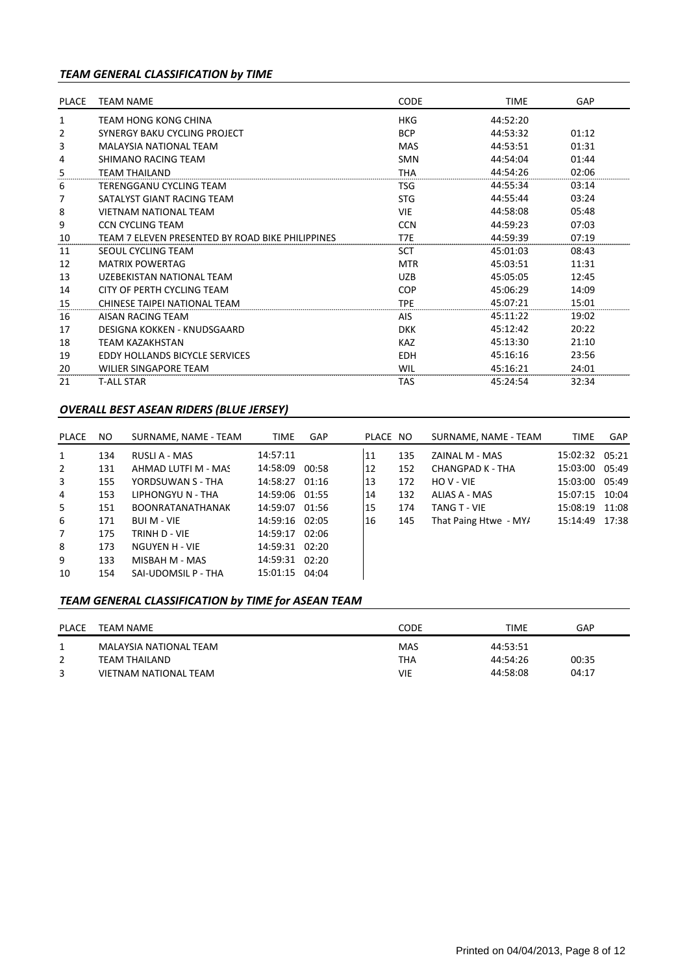# *TEAM GENERAL CLASSIFICATION by TIME*

| <b>PLACE</b> | <b>TEAM NAME</b>                                 | <b>CODE</b> | <b>TIME</b> | GAP   |
|--------------|--------------------------------------------------|-------------|-------------|-------|
| 1            | TEAM HONG KONG CHINA                             | <b>HKG</b>  | 44:52:20    |       |
| 2            | SYNERGY BAKU CYCLING PROJECT                     | <b>BCP</b>  | 44:53:32    | 01:12 |
| 3            | <b>MALAYSIA NATIONAL TEAM</b>                    | MAS         | 44:53:51    | 01:31 |
| 4            | SHIMANO RACING TEAM                              | <b>SMN</b>  | 44:54:04    | 01:44 |
| 5            | <b>TEAM THAILAND</b>                             | THA         | 44:54:26    | 02:06 |
| 6            | TERENGGANU CYCLING TEAM                          | <b>TSG</b>  | 44:55:34    | 03:14 |
| 7            | SATALYST GIANT RACING TEAM                       | <b>STG</b>  | 44:55:44    | 03:24 |
| 8            | <b>VIETNAM NATIONAL TEAM</b>                     | <b>VIE</b>  | 44:58:08    | 05:48 |
| 9            | <b>CCN CYCLING TEAM</b>                          | <b>CCN</b>  | 44:59:23    | 07:03 |
| 10           | TEAM 7 ELEVEN PRESENTED BY ROAD BIKE PHILIPPINES | T7E         | 44:59:39    | 07:19 |
| 11           | SEOUL CYCLING TEAM                               | SCT         | 45:01:03    | 08:43 |
| 12           | <b>MATRIX POWERTAG</b>                           | <b>MTR</b>  | 45:03:51    | 11:31 |
| 13           | UZEBEKISTAN NATIONAL TEAM                        | <b>UZB</b>  | 45:05:05    | 12:45 |
| 14           | CITY OF PERTH CYCLING TEAM                       | <b>COP</b>  | 45:06:29    | 14:09 |
| 15           | CHINESE TAIPEI NATIONAL TEAM                     | <b>TPE</b>  | 45:07:21    | 15:01 |
| 16           | AISAN RACING TEAM                                | <b>AIS</b>  | 45:11:22    | 19:02 |
| 17           | DESIGNA KOKKEN - KNUDSGAARD                      | <b>DKK</b>  | 45:12:42    | 20:22 |
| 18           | <b>TEAM KAZAKHSTAN</b>                           | <b>KAZ</b>  | 45:13:30    | 21:10 |
| 19           | <b>EDDY HOLLANDS BICYCLE SERVICES</b>            | <b>EDH</b>  | 45:16:16    | 23:56 |
| 20           | WILIER SINGAPORE TEAM                            | WIL         | 45:16:21    | 24:01 |
| 21           | <b>T-ALL STAR</b>                                | <b>TAS</b>  | 45:24:54    | 32:34 |

## *OVERALL BEST ASEAN RIDERS (BLUE JERSEY)*

| PLACE          | NO. | SURNAME, NAME - TEAM    | <b>TIME</b>    | <b>GAP</b> | PLACE NO |     | SURNAME, NAME - TEAM  | <b>TIME</b>    | GAP |
|----------------|-----|-------------------------|----------------|------------|----------|-----|-----------------------|----------------|-----|
| 1              | 134 | RUSLI A - MAS           | 14:57:11       |            | 11       | 135 | ZAINAL M - MAS        | 15:02:32 05:21 |     |
| $\overline{2}$ | 131 | AHMAD LUTFI M - MAS     | 14:58:09 00:58 |            | 12       | 152 | CHANGPAD K - THA      | 15:03:00 05:49 |     |
| 3              | 155 | YORDSUWAN S - THA       | 14:58:27 01:16 |            | 13       | 172 | HOV-VIE               | 15:03:00 05:49 |     |
| 4              | 153 | LIPHONGYU N - THA       | 14:59:06 01:55 |            | 14       | 132 | ALIAS A - MAS         | 15:07:15 10:04 |     |
| 5              | 151 | <b>BOONRATANATHANAK</b> | 14:59:07 01:56 |            | 15       | 174 | TANG T - VIE          | 15:08:19 11:08 |     |
| 6              | 171 | <b>BUI M - VIE</b>      | 14:59:16 02:05 |            | 16       | 145 | That Paing Htwe - MY/ | 15:14:49 17:38 |     |
| $\overline{7}$ | 175 | TRINH D - VIE           | 14:59:17 02:06 |            |          |     |                       |                |     |
| 8              | 173 | NGUYEN H - VIE          | 14:59:31 02:20 |            |          |     |                       |                |     |
| 9              | 133 | MISBAH M - MAS          | 14:59:31 02:20 |            |          |     |                       |                |     |
| 10             | 154 | SAI-UDOMSIL P - THA     | 15:01:15 04:04 |            |          |     |                       |                |     |

# *TEAM GENERAL CLASSIFICATION by TIME for ASEAN TEAM*

| <b>PLACE</b> | TEAM NAME              | CODE       | TIME     | GAP   |
|--------------|------------------------|------------|----------|-------|
|              | MALAYSIA NATIONAL TEAM | <b>MAS</b> | 44:53:51 |       |
|              | TEAM THAILAND          | <b>THA</b> | 44:54:26 | 00:35 |
|              | VIETNAM NATIONAL TEAM  | VIE        | 44:58:08 | 04:17 |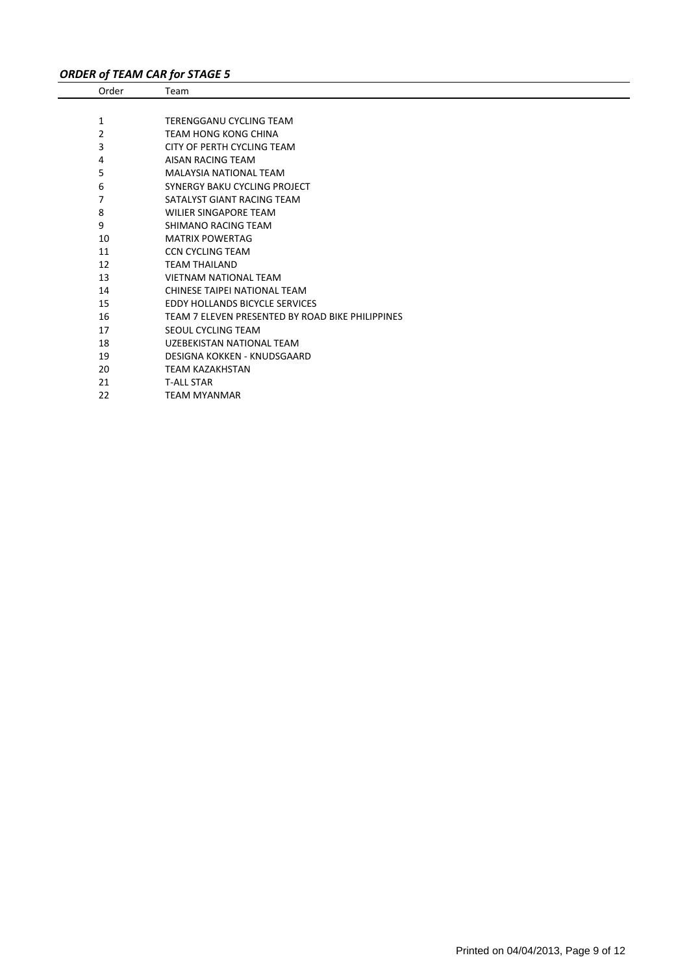# *ORDER of TEAM CAR for STAGE 5*

| Order | Team                                             |
|-------|--------------------------------------------------|
|       |                                                  |
| 1     | TERENGGANU CYCLING TEAM                          |
| 2     | <b>TEAM HONG KONG CHINA</b>                      |
| 3     | CITY OF PERTH CYCLING TEAM                       |
| 4     | AISAN RACING TEAM                                |
| 5     | <b>MALAYSIA NATIONAL TEAM</b>                    |
| 6     | <b>SYNERGY BAKU CYCLING PROJECT</b>              |
| 7     | SATALYST GIANT RACING TEAM                       |
| 8     | <b>WILIER SINGAPORE TEAM</b>                     |
| 9     | SHIMANO RACING TEAM                              |
| 10    | <b>MATRIX POWERTAG</b>                           |
| 11    | <b>CCN CYCLING TEAM</b>                          |
| 12    | <b>TEAM THAILAND</b>                             |
| 13    | <b>VIETNAM NATIONAL TEAM</b>                     |
| 14    | CHINESE TAIPEI NATIONAL TEAM                     |
| 15    | <b>EDDY HOLLANDS BICYCLE SERVICES</b>            |
| 16    | TEAM 7 ELEVEN PRESENTED BY ROAD BIKE PHILIPPINES |
| 17    | <b>SEOUL CYCLING TEAM</b>                        |
| 18    | UZEBEKISTAN NATIONAL TEAM                        |
| 19    | DESIGNA KOKKEN - KNUDSGAARD                      |
| 20    | <b>TEAM KAZAKHSTAN</b>                           |
| 21    | <b>T-ALL STAR</b>                                |
| 22    | <b>TEAM MYANMAR</b>                              |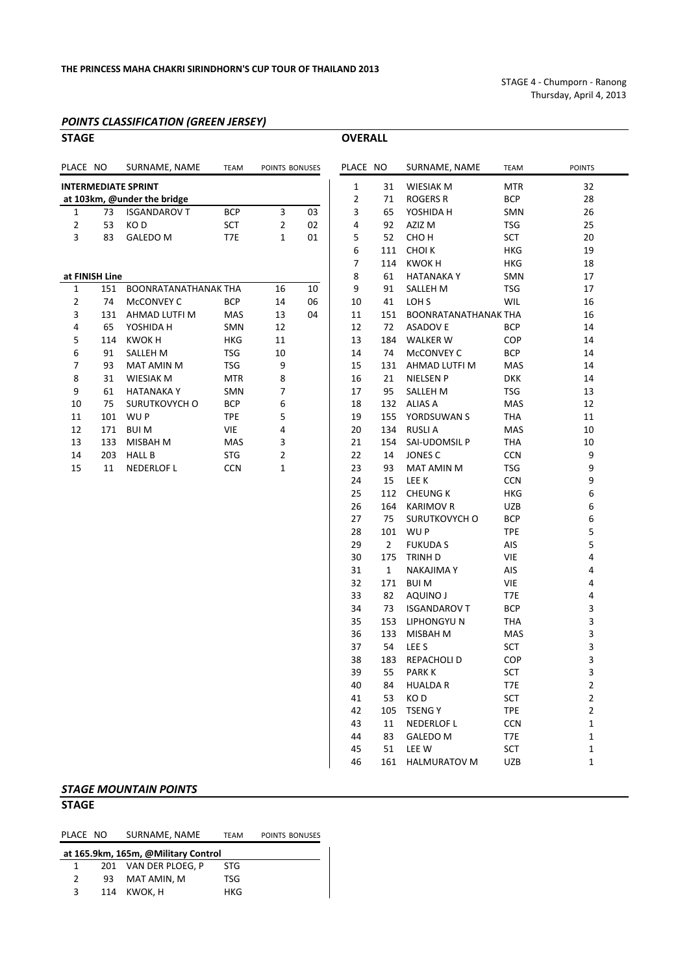STAGE 4 ‐ Chumporn ‐ Ranong Thursday, April 4, 2013

## *POINTS CLASSIFICATION (GREEN JERSEY)*

| <b>STAGE</b>   |                |                             |             |                |    | <b>OVERALL</b> |                |                             |                   |                                                    |
|----------------|----------------|-----------------------------|-------------|----------------|----|----------------|----------------|-----------------------------|-------------------|----------------------------------------------------|
| PLACE NO       |                | SURNAME, NAME               | <b>TEAM</b> | POINTS BONUSES |    | PLACE NO       |                | SURNAME, NAME               | <b>TEAM</b>       | <b>POINTS</b>                                      |
|                |                | <b>INTERMEDIATE SPRINT</b>  |             |                |    | 1              | 31             | <b>WIESIAK M</b>            | <b>MTR</b>        | 32                                                 |
|                |                | at 103km, @under the bridge |             |                |    | $\overline{2}$ | 71             | ROGERS R                    | <b>BCP</b>        | 28                                                 |
| $\mathbf{1}$   | 73             | <b>ISGANDAROV T</b>         | <b>BCP</b>  | 3              | 03 | 3              | 65             | YOSHIDA H                   | SMN               | 26                                                 |
| $\overline{2}$ | 53             | KO D                        | SCT         | $\overline{2}$ | 02 | 4              | 92             | AZIZ M                      | TSG               | 25                                                 |
| 3              | 83             | <b>GALEDO M</b>             | T7E         | $\mathbf{1}$   | 01 | 5              | 52             | СНО Н                       | <b>SCT</b>        | 20                                                 |
|                |                |                             |             |                |    | 6              | 111            | <b>CHOIK</b>                | <b>HKG</b>        | 19                                                 |
|                |                |                             |             |                |    | $\overline{7}$ | 114            | <b>KWOKH</b>                | <b>HKG</b>        | 18                                                 |
|                | at FINISH Line |                             |             |                |    | 8              | 61             | <b>HATANAKAY</b>            | SMN               | 17                                                 |
| $\mathbf{1}$   | 151            | BOONRATANATHANAK THA        |             | 16             | 10 | 9              | 91             | <b>SALLEH M</b>             | <b>TSG</b>        | 17                                                 |
| $\overline{2}$ | 74             | McCONVEY C                  | <b>BCP</b>  | 14             | 06 | 10             | 41             | LOH <sub>S</sub>            | <b>WIL</b>        | 16                                                 |
| 3              | 131            | AHMAD LUTFI M               | MAS         | 13             | 04 | 11             | 151            | <b>BOONRATANATHANAK THA</b> |                   | 16                                                 |
| 4              | 65             | YOSHIDA H                   | <b>SMN</b>  | 12             |    | 12             | 72             | <b>ASADOV E</b>             | <b>BCP</b>        | 14                                                 |
| 5              | 114            | <b>KWOKH</b>                | <b>HKG</b>  | 11             |    | 13             | 184            | <b>WALKER W</b>             | COP               | 14                                                 |
| 6              | 91             | SALLEH M                    | <b>TSG</b>  | 10             |    | 14             | 74             | MCCONVEY C                  | <b>BCP</b>        | 14                                                 |
| 7              | 93             | MAT AMIN M                  | <b>TSG</b>  | 9              |    | 15             | 131            | AHMAD LUTFI M               | MAS               | 14                                                 |
| 8              | 31             | <b>WIESIAK M</b>            | <b>MTR</b>  | 8              |    | 16             | 21             | <b>NIELSEN P</b>            | <b>DKK</b>        | 14                                                 |
| 9              | 61             | <b>HATANAKAY</b>            | <b>SMN</b>  | 7              |    | 17             | 95             | SALLEH M                    | <b>TSG</b>        | 13                                                 |
| 10             | 75             | SURUTKOVYCH O               | <b>BCP</b>  | 6              |    | 18             | 132            | <b>ALIAS A</b>              | MAS               | 12                                                 |
| 11             | 101            | WU P                        | <b>TPE</b>  | 5              |    | 19             | 155            | YORDSUWAN S                 | <b>THA</b>        | 11                                                 |
| 12             | 171            | <b>BUIM</b>                 | <b>VIE</b>  | 4              |    | 20             | 134            | <b>RUSLI A</b>              | MAS               | 10                                                 |
| 13             | 133            | MISBAH M                    | MAS         | 3              |    | 21             | 154            | SAI-UDOMSIL P               | THA               | 10                                                 |
| 14             | 203            | <b>HALL B</b>               | <b>STG</b>  | 2              |    | 22             | 14             | <b>JONES C</b>              | <b>CCN</b>        | 9                                                  |
| 15             | 11             | <b>NEDERLOF L</b>           | <b>CCN</b>  | 1              |    | 23             | 93             | MAT AMIN M                  | <b>TSG</b>        | 9                                                  |
|                |                |                             |             |                |    | 24             | 15             | <b>LEE K</b>                | <b>CCN</b>        | 9                                                  |
|                |                |                             |             |                |    | 25             | 112            | <b>CHEUNG K</b>             | <b>HKG</b>        | 6                                                  |
|                |                |                             |             |                |    | 26             | 164            | <b>KARIMOV R</b>            | <b>UZB</b>        | 6                                                  |
|                |                |                             |             |                |    | 27             | 75             | SURUTKOVYCH O               | <b>BCP</b>        | 6                                                  |
|                |                |                             |             |                |    | 28             | 101            | WU P                        | <b>TPE</b>        | 5                                                  |
|                |                |                             |             |                |    | 29             | $\overline{2}$ | <b>FUKUDA S</b>             | AIS               | 5                                                  |
|                |                |                             |             |                |    | 30             | 175            | TRINH D                     | VIE               | 4                                                  |
|                |                |                             |             |                |    | 31             | $\mathbf{1}$   | <b>NAKAJIMA Y</b>           | AIS               | 4                                                  |
|                |                |                             |             |                |    | 32             | 171            | <b>BUIM</b>                 | VIE               | 4                                                  |
|                |                |                             |             |                |    | 33             | 82             | <b>AQUINO J</b>             | T7E               | 4                                                  |
|                |                |                             |             |                |    | 34             | 73             | <b>ISGANDAROV T</b>         | <b>BCP</b>        | 3                                                  |
|                |                |                             |             |                |    | 35             | 153            | LIPHONGYU N                 | <b>THA</b>        | 3                                                  |
|                |                |                             |             |                |    | 36             | 133            | <b>MISBAH M</b>             | <b>MAS</b>        | 3                                                  |
|                |                |                             |             |                |    | 37             | 54             | LEE <sub>S</sub>            | SCT               | 3                                                  |
|                |                |                             |             |                |    | 38             | 183            | REPACHOLI D                 | COP               | 3                                                  |
|                |                |                             |             |                |    | 39             | 55             | <b>PARK K</b>               | SCT               | 3                                                  |
|                |                |                             |             |                |    | 40             | 84<br>53       | <b>HUALDAR</b>              | T7E<br><b>SCT</b> | $\overline{\mathbf{c}}$                            |
|                |                |                             |             |                |    | 41<br>42       | 105            | KO D<br><b>TSENGY</b>       | <b>TPE</b>        | $\overline{\mathbf{c}}$<br>$\overline{\mathbf{c}}$ |
|                |                |                             |             |                |    | $\sim$         | 4.4            | NICOCOLOC I                 | CCD               | $\overline{a}$                                     |

|          |              | LACE NO SURNAME, NAME TEAM |                   | <b>POINTS</b> |
|----------|--------------|----------------------------|-------------------|---------------|
| 1        |              | 31 WIESIAK M               | MTR               | 32            |
| 2        | 71           | ROGERS R                   | BCP               | 28            |
| 3        | 65           | YOSHIDA H                  | SMN               | 26            |
| 4        | 92           | AZIZ M                     | <b>TSG</b>        | 25            |
| 5        | 52           | CHO H                      | <b>SCT</b>        | 20            |
| 6        |              | 111 CHOI K                 | HKG               | 19            |
| 7        |              | 114 KWOK H                 | HKG               | 18            |
| 8        |              | 61 HATANAKA Y              | SMN               | 17            |
| 9        | 91           | SALLEH M                   | <b>TSG</b>        | 17            |
| 10       | 41           | LOH S                      | <b>WIL</b>        | 16            |
| 11       |              | 151 BOONRATANATHANAK THA   |                   | 16            |
| 12       |              | 72 ASADOV E                | <b>BCP</b>        | 14            |
| 13       |              | 184 WALKER W               | COP               | 14            |
| 14       |              | 74 McCONVEY C              | <b>BCP</b>        | 14            |
| 15       |              | 131 AHMAD LUTFI M          | MAS               | 14            |
| 16       | 21           | NIELSEN P                  | <b>DKK</b>        | 14            |
| 17       | 95           | SALLEH M                   | <b>TSG</b>        | 13            |
| 18       |              | 132 ALIAS A                | MAS               | 12            |
| 19       |              | 155 YORDSUWAN S            | THA               | 11            |
| 20       |              | 134 RUSLIA                 | MAS               | 10            |
| 21       |              | 154 SAI-UDOMSIL P          | <b>THA</b>        | 10            |
| 22       | 14           | JONES C                    | <b>CCN</b>        | 9             |
| 23       | 93           | MAT AMIN M                 | <b>TSG</b>        | 9             |
| 24       | 15           | lee k                      | <b>CCN</b>        | 9             |
| 25       |              | 112 CHEUNG K               | <b>HKG</b>        | 6             |
| 26       |              | 164 KARIMOV R              | UZB               | 6             |
| 27       | 75           | SURUTKOVYCH O              | <b>BCP</b>        | 6             |
| 28       | 101          | WU P                       | <b>TPE</b>        | 5             |
| 29       | $\mathbf{2}$ | FUKUDA S                   | AIS               | 5             |
| 30       | 175          | TRINH D                    | <b>VIE</b>        | $\sqrt{4}$    |
| 31       | 1            | NAKAJIMA Y                 | AIS               | 4             |
| 32       |              | 171 BUI M                  | <b>VIE</b>        | 4<br>4        |
| 33<br>34 | 82<br>73     | AQUINO J<br>ISGANDAROV T   | T7E<br><b>BCP</b> | 3             |
| 35       |              | 153 LIPHONGYU N            | THA               | 3             |
| 36       |              | 133 MISBAH M               | <b>MAS</b>        | 3             |
| 37       | 54           | LEE S                      | <b>SCT</b>        | 3             |
| 38       | 183          | REPACHOLI D                | <b>COP</b>        | 3             |
| 39       | 55           | <b>PARK K</b>              | SCT               | 3             |
| 40       | 84           | HUALDA R                   | T7E               | 2             |
| 41       | 53           | KO D                       | <b>SCT</b>        | 2             |
| 42       | 105          | <b>TSENGY</b>              | <b>TPE</b>        | 2             |
| 43       | 11           | NEDERLOF L                 | <b>CCN</b>        | $\mathbf 1$   |
| 44       | 83           | GALEDO M                   | T7E               | 1             |
| 45       | 51           | LEE W                      | <b>SCT</b>        | 1             |
| 46       | 161          | <b>HALMURATOV M</b>        | UZB               | 1             |
|          |              |                            |                   |               |

#### *STAGE MOUNTAIN POINTS*

# **STAGE**

PLACE NO SURNAME, NAME TEAM POINTS BONUSES **at 165.9km, 165m, @Military Control**

|               | at 165.9km, 165m, @Military Control |      |  |
|---------------|-------------------------------------|------|--|
| $\mathbf{1}$  | 201 VAN DER PLOEG. P                | -STG |  |
| $\mathcal{L}$ | 93 MAT AMIN. M                      | TSG  |  |
| 3             | 114 KWOK. H                         | HKG  |  |
|               |                                     |      |  |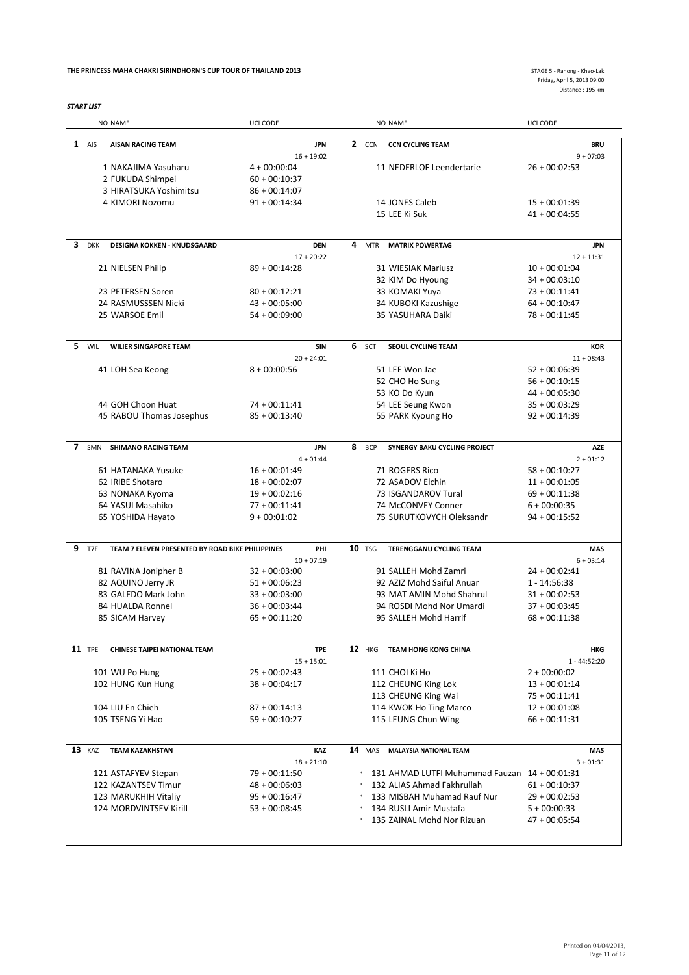#### **THE PRINCESS MAHA CHAKRI SIRINDHORN'S CUP TOUR OF THAILAND 2013**

*START LIST*

Friday, April 5, 2013 09:00 Distance : 195 km

|                |               | <b>NO NAME</b>                                   | UCI CODE                   |   |               | <b>NO NAME</b>                                | UCI CODE                  |
|----------------|---------------|--------------------------------------------------|----------------------------|---|---------------|-----------------------------------------------|---------------------------|
|                | $1$ AIS       | <b>AISAN RACING TEAM</b>                         | <b>JPN</b><br>$16 + 19:02$ |   |               | 2 CCN CCN CYCLING TEAM                        | <b>BRU</b><br>$9 + 07:03$ |
|                |               | 1 NAKAJIMA Yasuharu                              | $4 + 00:00:04$             |   |               | 11 NEDERLOF Leendertarie                      | $26 + 00:02:53$           |
|                |               |                                                  |                            |   |               |                                               |                           |
|                |               | 2 FUKUDA Shimpei                                 | $60 + 00:10:37$            |   |               |                                               |                           |
|                |               | 3 HIRATSUKA Yoshimitsu                           | $86 + 00:14:07$            |   |               |                                               |                           |
|                |               | 4 KIMORI Nozomu                                  | $91 + 00:14:34$            |   |               | 14 JONES Caleb                                | $15 + 00:01:39$           |
|                |               |                                                  |                            |   |               | 15 LEE Ki Suk                                 | $41 + 00:04:55$           |
| 3              | <b>DKK</b>    | <b>DESIGNA KOKKEN - KNUDSGAARD</b>               | <b>DEN</b>                 | 4 | <b>MTR</b>    | <b>MATRIX POWERTAG</b>                        | <b>JPN</b>                |
|                |               |                                                  | $17 + 20:22$               |   |               |                                               | $12 + 11:31$              |
|                |               | 21 NIELSEN Philip                                | $89 + 00:14:28$            |   |               | 31 WIESIAK Mariusz                            | $10 + 00:01:04$           |
|                |               |                                                  |                            |   |               | 32 KIM Do Hyoung                              | $34 + 00:03:10$           |
|                |               |                                                  |                            |   |               |                                               |                           |
|                |               | 23 PETERSEN Soren                                | $80 + 00:12:21$            |   |               | 33 KOMAKI Yuya                                | $73 + 00:11:41$           |
|                |               | 24 RASMUSSSEN Nicki                              | $43 + 00:05:00$            |   |               | 34 KUBOKI Kazushige                           | $64 + 00:10:47$           |
|                |               | 25 WARSOE Emil                                   | $54 + 00:09:00$            |   |               | 35 YASUHARA Daiki                             | $78 + 00:11:45$           |
| 5.             | WIL           | <b>WILIER SINGAPORE TEAM</b>                     | <b>SIN</b>                 |   | 6 SCT         | SEOUL CYCLING TEAM                            | <b>KOR</b>                |
|                |               |                                                  | $20 + 24:01$               |   |               |                                               | $11 + 08:43$              |
|                |               |                                                  | $8 + 00:00:56$             |   |               | 51 LEE Won Jae                                | $52 + 00:06:39$           |
|                |               | 41 LOH Sea Keong                                 |                            |   |               |                                               |                           |
|                |               |                                                  |                            |   |               | 52 CHO Ho Sung                                | $56 + 00:10:15$           |
|                |               |                                                  |                            |   |               | 53 KO Do Kyun                                 | $44 + 00:05:30$           |
|                |               | 44 GOH Choon Huat                                | $74 + 00:11:41$            |   |               | 54 LEE Seung Kwon                             | $35 + 00:03:29$           |
|                |               | 45 RABOU Thomas Josephus                         | $85 + 00:13:40$            |   |               | 55 PARK Kyoung Ho                             | $92 + 00:14:39$           |
|                |               |                                                  |                            |   |               |                                               |                           |
| $\overline{7}$ |               | SMN SHIMANO RACING TEAM                          | <b>JPN</b>                 |   | 8 BCP         | SYNERGY BAKU CYCLING PROJECT                  | AZE                       |
|                |               |                                                  | $4 + 01:44$                |   |               |                                               | $2 + 01:12$               |
|                |               | 61 HATANAKA Yusuke                               | $16 + 00:01:49$            |   |               | 71 ROGERS Rico                                | $58 + 00:10:27$           |
|                |               | 62 IRIBE Shotaro                                 | $18 + 00:02:07$            |   |               | 72 ASADOV Elchin                              | $11 + 00:01:05$           |
|                |               | 63 NONAKA Ryoma                                  | $19 + 00:02:16$            |   |               | 73 ISGANDAROV Tural                           | $69 + 00:11:38$           |
|                |               | 64 YASUI Masahiko                                | $77 + 00:11:41$            |   |               | 74 McCONVEY Conner                            | $6 + 00:00:35$            |
|                |               |                                                  | $9 + 00:01:02$             |   |               | 75 SURUTKOVYCH Oleksandr                      | $94 + 00:15:52$           |
|                |               | 65 YOSHIDA Hayato                                |                            |   |               |                                               |                           |
| 9              | T7E           | TEAM 7 ELEVEN PRESENTED BY ROAD BIKE PHILIPPINES | PHI                        |   | <b>10 TSG</b> | <b>TERENGGANU CYCLING TEAM</b>                | <b>MAS</b>                |
|                |               |                                                  | $10 + 07:19$               |   |               |                                               | $6 + 03:14$               |
|                |               | 81 RAVINA Jonipher B                             | $32 + 00:03:00$            |   |               | 91 SALLEH Mohd Zamri                          | $24 + 00:02:41$           |
|                |               | 82 AQUINO Jerry JR                               | $51 + 00:06:23$            |   |               | 92 AZIZ Mohd Saiful Anuar                     | $1 - 14:56:38$            |
|                |               | 83 GALEDO Mark John                              | $33 + 00:03:00$            |   |               | 93 MAT AMIN Mohd Shahrul                      | $31 + 00:02:53$           |
|                |               | 84 HUALDA Ronnel                                 | $36 + 00:03:44$            |   |               | 94 ROSDI Mohd Nor Umardi                      | $37 + 00:03:45$           |
|                |               |                                                  |                            |   |               | 95 SALLEH Mohd Harrif                         |                           |
|                |               | 85 SICAM Harvey                                  | $65 + 00:11:20$            |   |               |                                               | $68 + 00:11:38$           |
|                | <b>11 TPE</b> | <b>CHINESE TAIPEI NATIONAL TEAM</b>              | <b>TPE</b>                 |   | <b>12</b> HKG | TEAM HONG KONG CHINA                          | HKG                       |
|                |               |                                                  | $15 + 15:01$               |   |               |                                               | $1 - 44:52:20$            |
|                |               | 101 WU Po Hung                                   | $25 + 00:02:43$            |   |               | 111 CHOI Ki Ho                                | $2 + 00:00:02$            |
|                |               | 102 HUNG Kun Hung                                | $38 + 00:04:17$            |   |               | 112 CHEUNG King Lok                           | $13 + 00:01:14$           |
|                |               |                                                  |                            |   |               |                                               |                           |
|                |               |                                                  |                            |   |               | 113 CHEUNG King Wai                           | $75 + 00:11:41$           |
|                |               | 104 LIU En Chieh                                 | $87 + 00:14:13$            |   |               | 114 KWOK Ho Ting Marco                        | $12 + 00:01:08$           |
|                |               | 105 TSENG Yi Hao                                 | $59 + 00:10:27$            |   |               | 115 LEUNG Chun Wing                           | $66 + 00:11:31$           |
|                | 13 KAZ        | <b>TEAM KAZAKHSTAN</b>                           | KAZ                        |   | <b>14</b> MAS | <b>MALAYSIA NATIONAL TEAM</b>                 | <b>MAS</b>                |
|                |               |                                                  | $18 + 21:10$               |   |               |                                               | $3 + 01:31$               |
|                |               | 121 ASTAFYEV Stepan                              | $79 + 00:11:50$            |   |               | 131 AHMAD LUTFI Muhammad Fauzan 14 + 00:01:31 |                           |
|                |               |                                                  |                            |   |               | 132 ALIAS Ahmad Fakhrullah                    |                           |
|                |               | 122 KAZANTSEV Timur                              | $48 + 00:06:03$            |   |               |                                               | $61 + 00:10:37$           |
|                |               | 123 MARUKHIH Vitaliy                             | $95 + 00:16:47$            |   |               | 133 MISBAH Muhamad Rauf Nur                   | $29 + 00:02:53$           |
|                |               | 124 MORDVINTSEV Kirill                           | $53 + 00:08:45$            |   |               | 134 RUSLI Amir Mustafa                        | $5 + 00:00:33$            |
|                |               |                                                  |                            |   |               | 135 ZAINAL Mohd Nor Rizuan                    | 47 + 00:05:54             |
|                |               |                                                  |                            |   |               |                                               |                           |